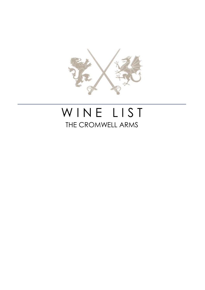

# WINE LIST THE CROMWELL ARMS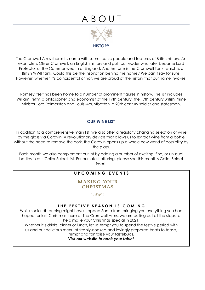## A B O U T



The Cromwell Arms shares its name with some iconic people and features of British history. An example is Oliver Cromwell, an English military and political leader who later became Lord Protector of the Commonwealth of England. Another one is the Cromwell Tank, which is a British WWII tank. Could this be the inspiration behind the name? We can't say for sure. However, whether it's coincidental or not, we are proud of the history that our name invokes.

Romsey itself has been home to a number of prominent figures in history. The list includes William Petty, a philosopher and economist of the 17th century, the 19th century British Prime Minister Lord Palmerston and Louis Mountbatten, a 20th century soldier and statesman.

### **OUR WINE LIST**

In addition to a comprehensive main list, we also offer a regularly changing selection of wine by the glass via Coravin. A revolutionary device that allows us to extract wine from a bottle without the need to remove the cork, the Coravin opens up a whole new world of possibility by the glass.

Each month we also complement our list by adding a number of exciting, fine, or unusual bottles in our 'Cellar Select' list. For our latest offering, please see this month's Cellar Select insert.

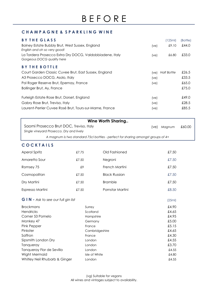### **C H A M P A G N E & S P A R K L I N G W I N E**

| <b>BYTHE GLASS</b>                                                                     |          |                                                                                  |            | (125ml)            | (Bottle) |
|----------------------------------------------------------------------------------------|----------|----------------------------------------------------------------------------------|------------|--------------------|----------|
| Bolney Estate Bubbly Brut, West Sussex, England                                        |          | (ve)                                                                             | £9.10      | £44.0              |          |
| English and oh so very good!                                                           |          |                                                                                  |            |                    |          |
| La Tordera Prosecco Extra Dry DOCG, Valdobbiadene, Italy<br>Gorgeous DOCG quality here |          |                                                                                  | (ve)       | £6.80              | £33.0    |
|                                                                                        |          |                                                                                  |            |                    |          |
| <b>BY THE BOTTLE</b>                                                                   |          |                                                                                  |            |                    |          |
| Court Garden Classic Cuvee Brut, East Sussex, England                                  |          |                                                                                  | $(\vee e)$ | <b>Half Bottle</b> | £26.5    |
| A3 Prosecco DOCG, Asolo, Italy                                                         |          |                                                                                  | (ve)       |                    | £33.5    |
| Pol Roger Reserve Brut, Epernay, France                                                |          |                                                                                  | (ve)       |                    | £65.0    |
| Bollinger Brut, Ay, France                                                             |          |                                                                                  |            |                    | £75.0    |
|                                                                                        |          |                                                                                  |            |                    |          |
| Furleigh Estate Rose Brut, Dorset, England                                             |          |                                                                                  | (ve)       |                    | £49.0    |
| Gabry Rose Brut, Treviso, Italy                                                        |          |                                                                                  | (ve)       |                    | £28.5    |
| Laurent-Perrier Cuvee Rosé Brut, Tours-sur-Marne, France                               |          |                                                                                  | (ve)       |                    | £85.5    |
|                                                                                        |          |                                                                                  |            |                    |          |
|                                                                                        |          | <b>Wine Worth Sharing</b>                                                        |            |                    |          |
| Saomi Prosecco Brut DOC, Treviso, Italy                                                |          |                                                                                  | (ve)       | Magnum             | £60.00   |
| Single vineyard Prosecco. Dry and lively                                               |          |                                                                                  |            |                    |          |
|                                                                                        |          | A magnum is two standard 75cl bottles - perfect for sharing amongst groups of 4+ |            |                    |          |
|                                                                                        |          |                                                                                  |            |                    |          |
| <b>COCKTAILS</b>                                                                       |          |                                                                                  |            |                    |          |
| <b>Aperol Spritz</b>                                                                   | £7.75    | Old Fashioned                                                                    |            | £7.50              |          |
| Amaretto Sour                                                                          | £7.50    | Negroni                                                                          |            | £7.50              |          |
| Romsey 75                                                                              | £9       | French Martini                                                                   |            | £7.50              |          |
| Cosmopolitan                                                                           | £7.50    | <b>Black Russian</b>                                                             |            | £7.50              |          |
| Dry Martini                                                                            | £7.50    | <b>Bramble</b>                                                                   |            | £7.50              |          |
| Espresso Martini                                                                       | £7.50    | Pornstar Martini                                                                 |            | £8.50              |          |
| G I N - Ask to see our full gin list                                                   |          |                                                                                  |            |                    |          |
|                                                                                        |          |                                                                                  |            | (25ml)             |          |
| <b>Brockmans</b>                                                                       | Surrey   |                                                                                  |            | £4.90              |          |
| Hendricks                                                                              | Scotland |                                                                                  |            | £4.65              |          |
| Corner 53 Pomelo                                                                       |          | Hampshire                                                                        |            | £4.95              |          |
| Monkey 47                                                                              |          | Germany                                                                          |            | £5.00              |          |
| Pink Pepper                                                                            | France   |                                                                                  |            | £5.15              |          |
| Pinkster                                                                               |          | Cambridgeshire                                                                   |            | £4.65              |          |
| Saffron                                                                                | France   |                                                                                  |            | £4.30              |          |
| Sipsmith London Dry                                                                    | London   |                                                                                  |            | £4.55              |          |
| Tanqueray                                                                              | London   |                                                                                  |            | £3.70              |          |
| Tanqueray Flor de Sevilla                                                              | London   |                                                                                  |            | £4.55              |          |
| Wight Mermaid<br>Whitley Neil Rhubarb & Ginger                                         |          | Isle of White                                                                    |            | £4.80<br>£4.55     |          |
|                                                                                        | London   |                                                                                  |            |                    |          |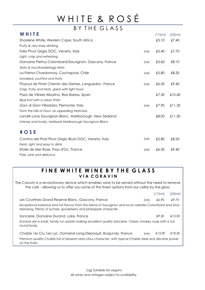# WHITE & ROSÉ

| BY THE GLASS                                             |            |         |         |
|----------------------------------------------------------|------------|---------|---------|
| WHITE                                                    |            | (175ml) | (250ml) |
| Shoreline White, Western Cape, South Africa              |            | £5.10   | £7.40   |
| Fruity & very easy drinking                              |            |         |         |
| Folio Pinot Grigio DOC, Veneto, Italy                    | (ve)       | £5.40   | £7.70   |
| Light, crisp and refreshing                              |            |         |         |
| Domaine Perhus Colombard/Sauvignon, Gascony, France      | (ve)       | £5.60   | £8.10   |
| Zesty & mouthwateringly fresh                            |            |         |         |
| La Palma Chardonnay, Cachapoal, Chile                    | (ve)       | £5.80   | £8.30   |
| Unoaked, youthful and fruity                             |            |         |         |
| Picpoul de Pinet Chemin des Dames, Languedoc, France     | $(\vee e)$ | £6.50   | £9.40   |
| Crisp, fruity and fresh, great with light food           |            |         |         |
| Pazo de Villarei Albarino, Rias Baixas, Spain            |            | £7.30   | £10.40  |
| Ripe fruit with a clean finish                           |            |         |         |
| Gavi di Gavi Villadoria, Piemonte, Italy                 | (ve)       | £7.90   | £11.30  |
| From the hills of Gavi, an appealing freshness           |            |         |         |
| Lanark Lane Sauvignon Blanc, Marlborough, New Zealand    |            | £8.00   | £11.50  |
| Intense and lovely, textbook Marlborough Sauvignon Blanc |            |         |         |
| <b>ROSE</b>                                              |            |         |         |
| Comino dei Prati Pinot Grigio Blush DOC, Veneto, Italy   | $(\vee e)$ | £5.80   | £8.30   |
| Fresh, light and easy to drink                           |            |         |         |
| Etoile de Mer Rose, Pays d'Oc, France                    | (ve)       | £6.50   | £9.40   |

*Pale, pink and delicious*

### **FINE WHITE WINE BY THE GLASS V I A C O R A V I N**

The Coravin is a revolutionary device which enables wine to be served without the need to remove the cork - allowing us to offer you some of the finest options from our cellar by the glass.

|                                                                                                                                                                            |      | (175ml) | (250ml) |
|----------------------------------------------------------------------------------------------------------------------------------------------------------------------------|------|---------|---------|
| Les Courtines Grand Reserve Blanc, Gascony, France                                                                                                                         | (ve) | £6.90   | £9.70   |
| Exceptional balance and full flavour from this blend of Sauvignon and local varieties Colombard and Gros<br>Manseng. Plenty of lychee, gooseberry and pineapple character. |      |         |         |
| Sancerre, Domaine Durand, Loire, France                                                                                                                                    |      | £9.50   | £13.50  |
| Durand are a small, family run estate making excellent quality Sancerre. Classic smokey nose with a full,<br>round body.                                                   |      |         |         |
| Chablis 1 er Cru 'Les Lys', Domaine Long-Depaquit, Burgundy, France                                                                                                        | (ve) | £13.00  | £18.50  |
| Premium quality Chablis full of blossom and citrus character, with typical Chablis steel and discrete power<br>on the finish.                                              |      |         |         |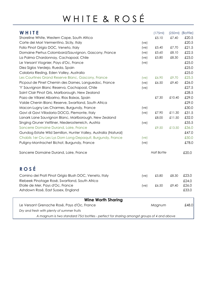# WHITE & ROSÉ

| WHITE                                                           |            | (175ml)            |        | $(250ml)$ $(Bottle)$ |
|-----------------------------------------------------------------|------------|--------------------|--------|----------------------|
| Shoreline White, Western Cape, South Africa                     |            | £5.10              | £7.40  | £20.5                |
| Corte dei Mori Vermentino, Sicily, Italy                        | $(\vee e)$ |                    |        | £20.5                |
| Folio Pinot Grigio DOC, Veneto, Italy                           | (ve)       | £5.40              | £7.70  | £21.5                |
| Domaine Perhus Colombard/Sauvignon, Gascony, France             | (ve)       | £5.60              | £8.10  | £22.5                |
| La Palma Chardonnay, Cachapoal, Chile                           | (ve)       | £5.80              | £8.30  | £23.0                |
| Le Versant Viognier, Pays d'Oc, France                          | (ve)       |                    |        | £25.0                |
| Diez Siglos Verdejo, Rueda, Spain                               |            |                    |        | £25.0                |
| Calabria Riesling, Eden Valley, Australia                       |            |                    |        | £25.0                |
| Les Courtines Grand Reserve Blanc, Gascony, France              | (ve)       | £6.90              | £9.70  | £25.5                |
| Picpoul de Pinet Chemin des Dames, Languedoc, France            | (ve)       | £6.50              | £9.40  | £26.0                |
| 'Y' Sauvignon Blanc Reserva, Cachapoal, Chile                   | (ve)       |                    |        | £27.5                |
| Saint Clair Pinot Gris, Marlborough, New Zealand                |            |                    |        | £28.5                |
| Pazo de Villarei Albarino, Rias Baixas, Spain                   |            | £7.30              | £10.40 | £29.0                |
| Valde Chenin Blanc Reserve, Swartland, South Africa             |            |                    |        | £29.0                |
| Macon-Lugny Les Charmes, Burgundy, France                       | (ve)       |                    |        | £30.0                |
| Gavi di Gavi Villadoria DOCG, Piemonte, Italy                   | (ve)       | £7.90              | £11.30 | £31.5                |
| Lanark Lane Sauvignon Blanc, Marlborough, New Zealand           |            | £8.00              | £11.50 | £32.0                |
| Singing Gruner Veltliner, Niederosterreich, Austria             | (ve)       |                    |        | £35.5                |
| Sancerre Domaine Durand, Loire, France                          |            | £9.50              | £13.50 | £36.0                |
| Gundog Estate Wild Semillon, Hunter Valley, Australia (Natural) |            |                    |        | £47.0                |
| Chablis 1 er Cru Les Lys Dom Long-Depaquit, Burgundy, France    | (ve)       |                    |        | £50.0                |
| Puligny-Montrachet Bichot, Burgundy, France                     | (ve)       |                    |        | £78.0                |
| Sancerre Domaine Durand, Loire, France                          |            | <b>Half Bottle</b> |        | £20.0                |
| <b>ROSÉ</b>                                                     |            |                    |        |                      |
| Comino dei Prati Pinot Grigio Blush DOC, Veneto, Italy          | $(\vee e)$ | £5.80              | £8.30  | £23.0                |
| Riebeek Pinotage Rosé, Swartland, South Africa                  |            |                    |        | £24.0                |
| Etoile de Mer, Pays d'Oc, France                                | $(\vee e)$ | £6.50              | £9.40  | £26.0                |
| Ashdown Rosé, East Sussex, England                              |            |                    |        | £33.0                |
| <b>Wine Worth Sharing</b>                                       |            |                    |        |                      |
| Le Versant Grenache Rosé, Pays d'Oc, France                     |            | Magnum             |        | £48.0                |
| Dry and fresh with plenty of summer fruits                      |            |                    |        |                      |

*A magnum is two standard 75cl bottles - perfect for sharing amongst groups of 4 and above*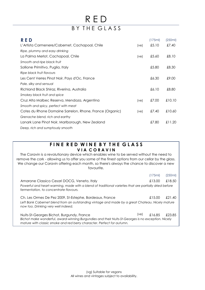### R E D BY THE GLASS

| RED                                                      |            | (175ml) | (250ml) |
|----------------------------------------------------------|------------|---------|---------|
| L'Artista Carmenere/Cabernet, Cachapoal, Chile           | (ve)       | £5.10   | £7.40   |
| Ripe, plummy and easy drinking                           |            |         |         |
| La Palma Merlot, Cachapoal, Chile                        | (ve)       | £5.60   | £8.10   |
| Smooth and ripe black fruit                              |            |         |         |
| Sollione Primitivo, Puglia, Italy                        |            | £5.80   | £8.30   |
| Ripe black fruit flavours                                |            |         |         |
| Les Cent Verres Pinot Noir, Pays d'Oc, France            |            | £6.30   | £9.00   |
| Pale, silky and sensual                                  |            |         |         |
| Richland Black Shiraz, Riverina, Australia               |            | £6.10   | £8.80   |
| Smokey black fruit and spice                             |            |         |         |
| Cruz Alta Malbec Reserva, Mendoza, Argentina             | (ve)       | £7.00   | £10.10  |
| Smooth and spicy, perfect with meat                      |            |         |         |
| Cotes du Rhone Domaine Sarrelon, Rhone, France (Organic) | $(\vee e)$ | £7.40   | £10.60  |
| Grenache blend, rich and earthy                          |            |         |         |
| Lanark Lane Pinot Noir, Marlborough, New Zealand         |            | £7.80   | £11.20  |
| Deep, rich and sumptously smooth                         |            |         |         |

### **FINE RED WINE BY THE GLASS V I A C O R A V I N**

The Coravin is a revolutionary device which enables wine to be served without the need to remove the cork - allowing us to offer you some of the finest options from our cellar by the glass. We change our Coravin offering each month, so there's always the chance to discover a new favourite.

|                                                                                                                                                                              |      | (175ml) | (250ml) |
|------------------------------------------------------------------------------------------------------------------------------------------------------------------------------|------|---------|---------|
| Amarone Classico Cesari DOCG, Veneto, Italy                                                                                                                                  |      | £13.00  | £18.50  |
| Powerful and heart-warming, made with a blend of traditional varieties that are partially dried before<br>fermentation, to concentrate flavours.                             |      |         |         |
| Ch. Les Ormes De Pez 2009, St-Estephe, Bordeaux, France                                                                                                                      |      | £15.00  | £21.40  |
| Left Bank Cabernet blend from an outstanding vintage and made by a great Chateau. Nicely mature<br>now too. Drinking very well indeed.                                       |      |         |         |
| Nuits-St-Georges Bichot, Burgundy, France                                                                                                                                    | (ve) | £16.85  | £23.85  |
| Bichot make wonderful, award-winning Burgundies and their Nuits-St-Georges is no exception. Nicely<br>mature with classic smoke and red berry character. Perfect for autumn. |      |         |         |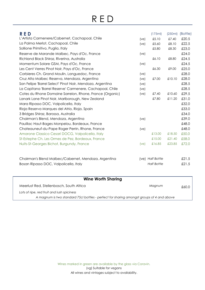## R E D

| <b>RED</b>                                                |      | (175ml)            | (250ml) | (Bottle) |
|-----------------------------------------------------------|------|--------------------|---------|----------|
| L'Artista Carmenere/Cabernet, Cachapoal, Chile            | (ve) | £5.10              | £7.40   | £20.5    |
| La Palma Merlot, Cachapoal, Chile                         | (ve) | £5.60              | £8.10   | £22.5    |
| Sollione Primitivo, Puglia, Italy                         |      | £5.80              | £8.30   | £23.0    |
| Reserve de Marande Malbec, Pays d'Oc, France              | (ve) |                    |         | £24.0    |
| Richland Black Shiraz, Riverina, Australia                |      | £6.10              | £8.80   | £24.5    |
| Momentum Solare GSM, Pays d'Oc, France                    | (ve) |                    |         | £24.5    |
| Les Cent Verres Pinot Noir, Pays d'Oc, France             |      | £6.30              | £9.00   | £25.0    |
| Corbieres Ch. Grand Moulin, Languedoc, France             | (ve) |                    |         | £28.0    |
| Cruz Alta Malbec Reserva, Mendoza, Argentina              | (ve) | £7.00              | £10.10  | £28.0    |
| San Felipe 'Barrel Select' Pinot Noir, Mendoza, Argentina | (ve) |                    |         | £28.5    |
| La Capitana 'Barrel Reserve' Carmenere, Cachapoal, Chile  | (ve) |                    |         | £28.5    |
| Cotes du Rhone Domaine Sarrelon, Rhone, France (Organic)  | (ve) | £7.40              | £10.60  | £29.5    |
| Lanark Lane Pinot Noir, Marlborough, New Zealand          |      | £7.80              | £11.20  | £31.0    |
| Mara Ripasso DOC, Valpolicella, Italy                     |      |                    |         | £32.0    |
| Rioja Reserva Marques del Atrio, Rioja, Spain             |      |                    |         | £33.0    |
| 3 Bridges Shiraz, Barossa, Australia                      |      |                    |         | £34.0    |
| Chairman's Blend, Mendoza, Argentina                      | (ve) |                    |         | £39.0    |
| Pauillac Haut-Bages Monpelou, Bordeaux, France            |      |                    |         | £48.0    |
| Chateauneuf-du-Pape Roger Perrin, Rhone, France           | (ve) |                    |         | £48.0    |
| Amarone Classico Cesari DOCG, Valpolicella, Italy         |      | £13.00             | £18.50  | £50.0    |
| St-Estephe Ch. Les Ormes de Pez, Bordeaux, France         |      | £15.00             | £21.40  | £58.0    |
| Nuits-St-Georges Bichot, Burgundy, France                 | (ve) | £16.85             | £23.85  | £72.0    |
|                                                           |      | (ve) Half Bottle   |         | £21.5    |
| Chairman's Blend Malbec/Cabernet, Mendoza, Argentina      |      | <b>Half Bottle</b> |         |          |
| Bosan Ripasso DOC, Valpolicella, Italy                    |      |                    |         | £21.5    |
|                                                           |      |                    |         |          |
| <b>Wine Worth Sharing</b>                                 |      |                    |         |          |
| Meerlust Red, Stellenbosch, South Africa                  |      | Magnum             |         | £60.0    |
| Lots of ripe, red fruit and lush spiciness                |      |                    |         |          |

*A magnum is two standard 75cl bottles - perfect for sharing amongst groups of 4 and above*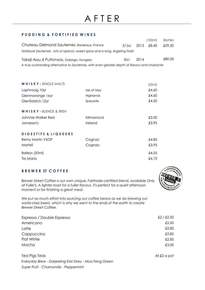## A F T E R

#### **P U D D I N G & F O R T I F I E D W I N E S**

|                                                                                                |               |        |      | (100ml) | (Bottle) |
|------------------------------------------------------------------------------------------------|---------------|--------|------|---------|----------|
| Chateau Delmond Sauternes, Bordeaux, France                                                    |               | 37.5cl | 2013 | £8.40   | £29.50   |
| Textbook Sauternes - lots of apricot, sweet spice and a long, lingering finish                 |               |        |      |         |          |
| Tokaji Aszu 6 Puttonyos, Dobogo, Hungary                                                       |               | 50cl   | 2014 |         | £80.50   |
| A truly outstanding alternative to Sauternes, with even greater depth of flavour and character |               |        |      |         |          |
|                                                                                                |               |        |      |         |          |
|                                                                                                |               |        |      |         |          |
|                                                                                                |               |        |      |         |          |
| <b>WHISKY-SINGLE MALTS</b>                                                                     |               |        |      | (25ml)  |          |
| Laphraoig 10yr                                                                                 | Isle of Islay |        |      | £4.60   |          |
| Glenmorange 16yr                                                                               | Highlands     |        |      | £4.60   |          |
| Glenfiddich 12yr                                                                               | Speyside      |        |      | £4.50   |          |
| WHISKY - BLENDS & IRISH                                                                        |               |        |      |         |          |
| Johnnie Walker Red                                                                             | Kilmarnock    |        |      | £3.50   |          |
| Jameson's                                                                                      | Ireland       |        |      | £3.95   |          |
|                                                                                                |               |        |      |         |          |
| <b>DIGESTIFS &amp; LIQUEURS</b>                                                                |               |        |      |         |          |
| Remy Martin VSOP                                                                               | Cognac        |        |      | £4.85   |          |
| Martell                                                                                        | Cognac        |        |      | £3.95   |          |
| Baileys (50ml)                                                                                 |               |        |      | £4.55   |          |
| Tia Maria                                                                                      |               |        |      | £4.10   |          |

### **B R E W E R ST C O F F E E**

*Brewer Street Coffee is our own unique, Fairtrade-certified blend, available Only at Fuller's. A lighter roast for a fuller flavour, it's perfect for a quiet afternoon moment or for finishing a great meal.*

We put as much effort into sourcing our coffee beans as we do brewing our *world-class beers, which is why we went to the ends of the earth to create Brewer Street Coffee.*

| Espresso / Double Espresso | £2 / £2.50 |
|----------------------------|------------|
| Americano                  | £2.50      |
| Latte                      | £2.85      |
| Cappuccino                 | £2.85      |
| Flat White                 | £2.85      |
| Mocha                      | £3.00      |

Tea Pigs Teas All £2 a pot *Everyday Brew - Darjeeling Earl Grey - Moa Feng Green Super Fruit - Chamomile - Peppermint*